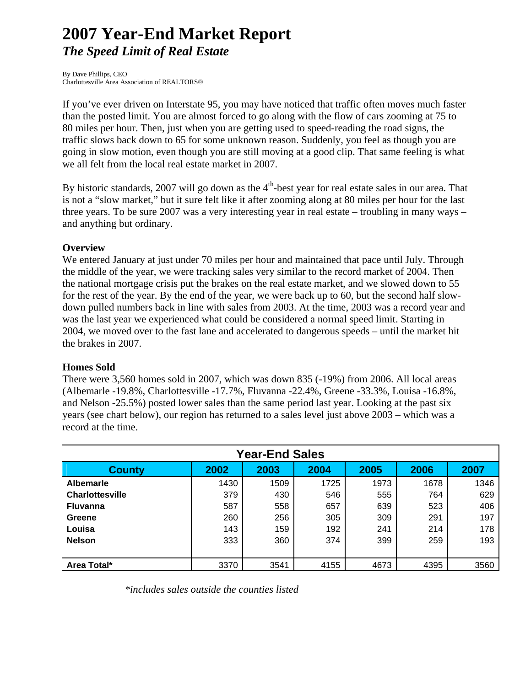# **2007 Year-End Market Report**  *The Speed Limit of Real Estate*

By Dave Phillips, CEO Charlottesville Area Association of REALTORS®

If you've ever driven on Interstate 95, you may have noticed that traffic often moves much faster than the posted limit. You are almost forced to go along with the flow of cars zooming at 75 to 80 miles per hour. Then, just when you are getting used to speed-reading the road signs, the traffic slows back down to 65 for some unknown reason. Suddenly, you feel as though you are going in slow motion, even though you are still moving at a good clip. That same feeling is what we all felt from the local real estate market in 2007.

By historic standards, 2007 will go down as the  $4<sup>th</sup>$ -best year for real estate sales in our area. That is not a "slow market," but it sure felt like it after zooming along at 80 miles per hour for the last three years. To be sure 2007 was a very interesting year in real estate – troubling in many ways – and anything but ordinary.

## **Overview**

We entered January at just under 70 miles per hour and maintained that pace until July. Through the middle of the year, we were tracking sales very similar to the record market of 2004. Then the national mortgage crisis put the brakes on the real estate market, and we slowed down to 55 for the rest of the year. By the end of the year, we were back up to 60, but the second half slowdown pulled numbers back in line with sales from 2003. At the time, 2003 was a record year and was the last year we experienced what could be considered a normal speed limit. Starting in 2004, we moved over to the fast lane and accelerated to dangerous speeds – until the market hit the brakes in 2007.

### **Homes Sold**

There were 3,560 homes sold in 2007, which was down 835 (-19%) from 2006. All local areas (Albemarle -19.8%, Charlottesville -17.7%, Fluvanna -22.4%, Greene -33.3%, Louisa -16.8%, and Nelson -25.5%) posted lower sales than the same period last year. Looking at the past six years (see chart below), our region has returned to a sales level just above 2003 – which was a record at the time.

| <b>Year-End Sales</b>  |      |      |      |      |      |      |  |
|------------------------|------|------|------|------|------|------|--|
| <b>County</b>          | 2002 | 2003 | 2004 | 2005 | 2006 | 2007 |  |
| <b>Albemarle</b>       | 1430 | 1509 | 1725 | 1973 | 1678 | 1346 |  |
| <b>Charlottesville</b> | 379  | 430  | 546  | 555  | 764  | 629  |  |
| <b>Fluvanna</b>        | 587  | 558  | 657  | 639  | 523  | 406  |  |
| Greene                 | 260  | 256  | 305  | 309  | 291  | 197  |  |
| Louisa                 | 143  | 159  | 192  | 241  | 214  | 178  |  |
| <b>Nelson</b>          | 333  | 360  | 374  | 399  | 259  | 193  |  |
|                        |      |      |      |      |      |      |  |
| Area Total*            | 3370 | 3541 | 4155 | 4673 | 4395 | 3560 |  |

*\*includes sales outside the counties listed*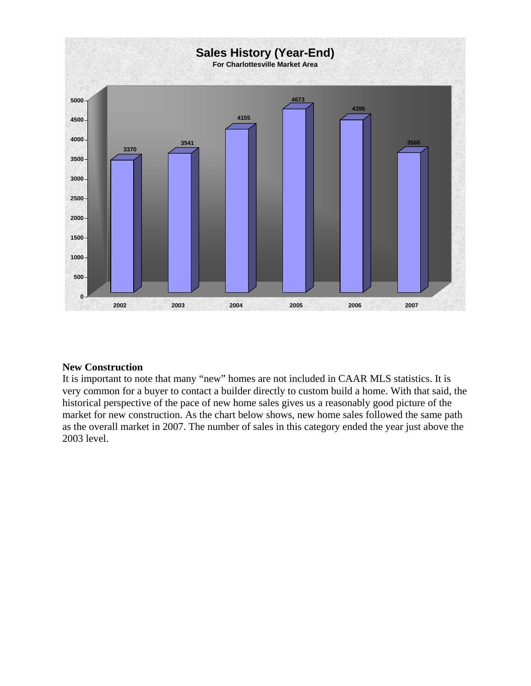

### **New Construction**

It is important to note that many "new" homes are not included in CAAR MLS statistics. It is very common for a buyer to contact a builder directly to custom build a home. With that said, the historical perspective of the pace of new home sales gives us a reasonably good picture of the market for new construction. As the chart below shows, new home sales followed the same path as the overall market in 2007. The number of sales in this category ended the year just above the 2003 level.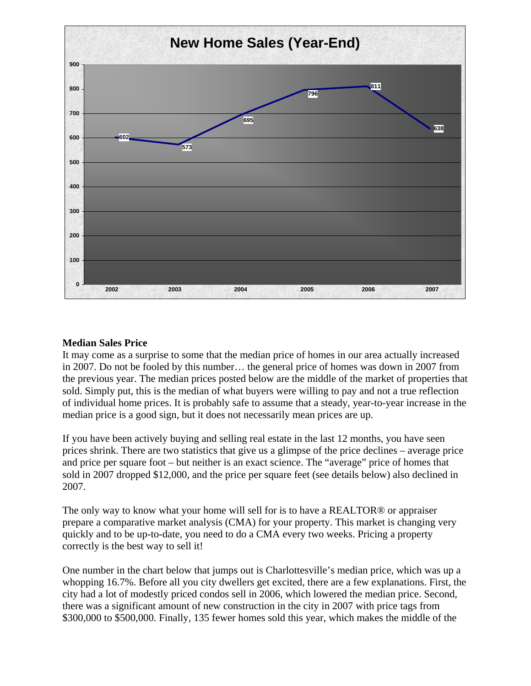

### **Median Sales Price**

It may come as a surprise to some that the median price of homes in our area actually increased in 2007. Do not be fooled by this number… the general price of homes was down in 2007 from the previous year. The median prices posted below are the middle of the market of properties that sold. Simply put, this is the median of what buyers were willing to pay and not a true reflection of individual home prices. It is probably safe to assume that a steady, year-to-year increase in the median price is a good sign, but it does not necessarily mean prices are up.

If you have been actively buying and selling real estate in the last 12 months, you have seen prices shrink. There are two statistics that give us a glimpse of the price declines – average price and price per square foot – but neither is an exact science. The "average" price of homes that sold in 2007 dropped \$12,000, and the price per square feet (see details below) also declined in 2007.

The only way to know what your home will sell for is to have a REALTOR® or appraiser prepare a comparative market analysis (CMA) for your property. This market is changing very quickly and to be up-to-date, you need to do a CMA every two weeks. Pricing a property correctly is the best way to sell it!

One number in the chart below that jumps out is Charlottesville's median price, which was up a whopping 16.7%. Before all you city dwellers get excited, there are a few explanations. First, the city had a lot of modestly priced condos sell in 2006, which lowered the median price. Second, there was a significant amount of new construction in the city in 2007 with price tags from \$300,000 to \$500,000. Finally, 135 fewer homes sold this year, which makes the middle of the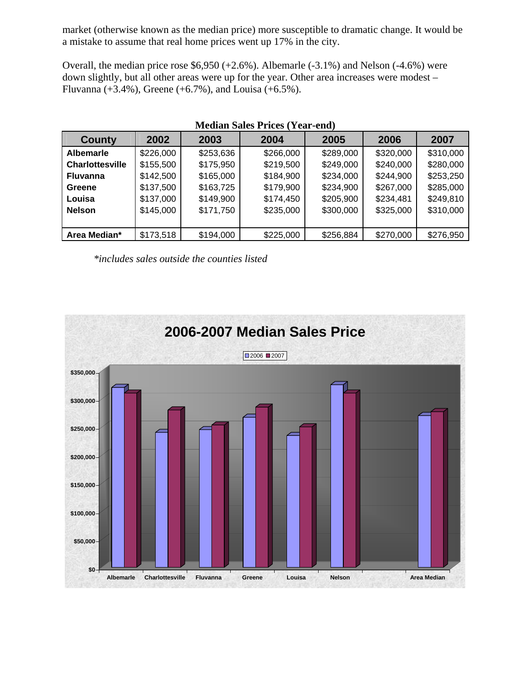market (otherwise known as the median price) more susceptible to dramatic change. It would be a mistake to assume that real home prices went up 17% in the city.

Overall, the median price rose  $$6,950 (+2.6%)$ . Albemarle  $(-3.1%)$  and Nelson  $(-4.6%)$  were down slightly, but all other areas were up for the year. Other area increases were modest – Fluvanna (+3.4%), Greene (+6.7%), and Louisa (+6.5%).

| $\alpha$ . The condition of $\alpha$ is the state $\alpha$ |           |           |           |           |           |           |  |  |
|------------------------------------------------------------|-----------|-----------|-----------|-----------|-----------|-----------|--|--|
| County                                                     | 2002      | 2003      | 2004      | 2005      | 2006      | 2007      |  |  |
| <b>Albemarle</b>                                           | \$226,000 | \$253,636 | \$266,000 | \$289,000 | \$320,000 | \$310,000 |  |  |
| <b>Charlottesville</b>                                     | \$155,500 | \$175,950 | \$219,500 | \$249,000 | \$240,000 | \$280,000 |  |  |
| <b>Fluvanna</b>                                            | \$142,500 | \$165,000 | \$184,900 | \$234,000 | \$244,900 | \$253,250 |  |  |
| Greene                                                     | \$137,500 | \$163,725 | \$179,900 | \$234,900 | \$267,000 | \$285,000 |  |  |
| Louisa                                                     | \$137,000 | \$149,900 | \$174,450 | \$205,900 | \$234,481 | \$249,810 |  |  |
| <b>Nelson</b>                                              | \$145,000 | \$171,750 | \$235,000 | \$300,000 | \$325,000 | \$310,000 |  |  |
|                                                            |           |           |           |           |           |           |  |  |
| Area Median*                                               | \$173,518 | \$194,000 | \$225,000 | \$256,884 | \$270,000 | \$276,950 |  |  |

## **Median Sales Prices (Year-end)**

*\*includes sales outside the counties listed* 

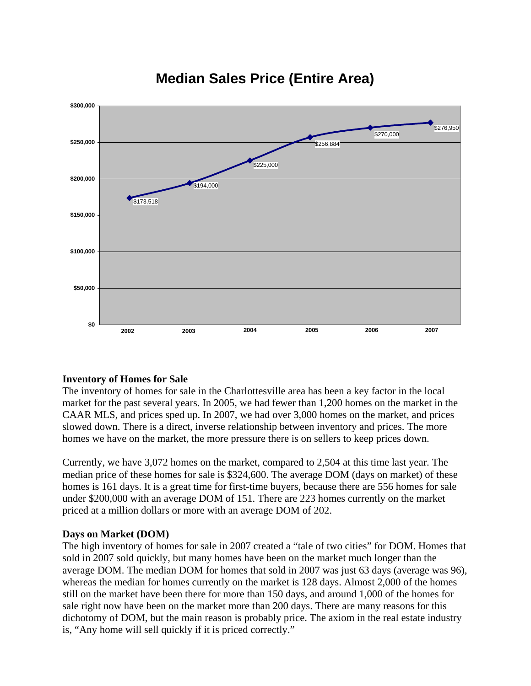

## **Median Sales Price (Entire Area)**

## **Inventory of Homes for Sale**

The inventory of homes for sale in the Charlottesville area has been a key factor in the local market for the past several years. In 2005, we had fewer than 1,200 homes on the market in the CAAR MLS, and prices sped up. In 2007, we had over 3,000 homes on the market, and prices slowed down. There is a direct, inverse relationship between inventory and prices. The more homes we have on the market, the more pressure there is on sellers to keep prices down.

Currently, we have 3,072 homes on the market, compared to 2,504 at this time last year. The median price of these homes for sale is \$324,600. The average DOM (days on market) of these homes is 161 days. It is a great time for first-time buyers, because there are 556 homes for sale under \$200,000 with an average DOM of 151. There are 223 homes currently on the market priced at a million dollars or more with an average DOM of 202.

### **Days on Market (DOM)**

The high inventory of homes for sale in 2007 created a "tale of two cities" for DOM. Homes that sold in 2007 sold quickly, but many homes have been on the market much longer than the average DOM. The median DOM for homes that sold in 2007 was just 63 days (average was 96), whereas the median for homes currently on the market is 128 days. Almost 2,000 of the homes still on the market have been there for more than 150 days, and around 1,000 of the homes for sale right now have been on the market more than 200 days. There are many reasons for this dichotomy of DOM, but the main reason is probably price. The axiom in the real estate industry is, "Any home will sell quickly if it is priced correctly."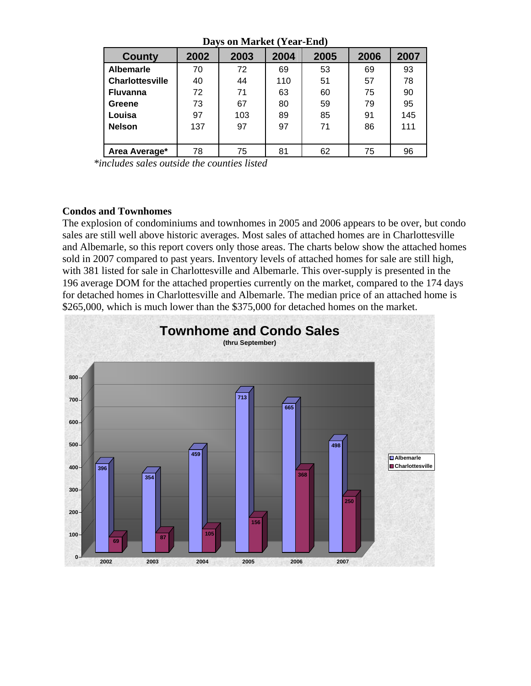| Davs on malkel (Teal-Eliu) |      |      |      |      |      |      |  |
|----------------------------|------|------|------|------|------|------|--|
| <b>County</b>              | 2002 | 2003 | 2004 | 2005 | 2006 | 2007 |  |
| <b>Albemarle</b>           | 70   | 72   | 69   | 53   | 69   | 93   |  |
| <b>Charlottesville</b>     | 40   | 44   | 110  | 51   | 57   | 78   |  |
| <b>Fluvanna</b>            | 72   | 71   | 63   | 60   | 75   | 90   |  |
| Greene                     | 73   | 67   | 80   | 59   | 79   | 95   |  |
| Louisa                     | 97   | 103  | 89   | 85   | 91   | 145  |  |
| <b>Nelson</b>              | 137  | 97   | 97   | 71   | 86   | 111  |  |
|                            |      |      |      |      |      |      |  |
| Area Average*              | 78   | 75   | 81   | 62   | 75   | 96   |  |

**Days on Market (Year-End)** 

*\*includes sales outside the counties listed* 

### **Condos and Townhomes**

The explosion of condominiums and townhomes in 2005 and 2006 appears to be over, but condo sales are still well above historic averages. Most sales of attached homes are in Charlottesville and Albemarle, so this report covers only those areas. The charts below show the attached homes sold in 2007 compared to past years. Inventory levels of attached homes for sale are still high, with 381 listed for sale in Charlottesville and Albemarle. This over-supply is presented in the 196 average DOM for the attached properties currently on the market, compared to the 174 days for detached homes in Charlottesville and Albemarle. The median price of an attached home is \$265,000, which is much lower than the \$375,000 for detached homes on the market.